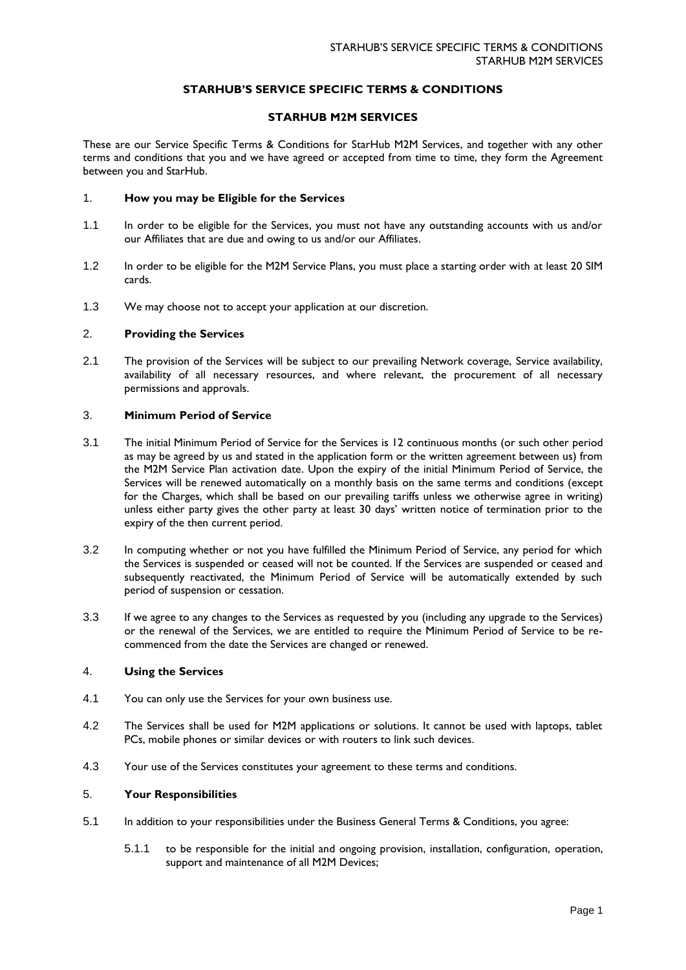# **STARHUB'S SERVICE SPECIFIC TERMS & CONDITIONS**

## **STARHUB M2M SERVICES**

These are our Service Specific Terms & Conditions for StarHub M2M Services, and together with any other terms and conditions that you and we have agreed or accepted from time to time, they form the Agreement between you and StarHub.

## 1. **How you may be Eligible for the Services**

- 1.1 In order to be eligible for the Services, you must not have any outstanding accounts with us and/or our Affiliates that are due and owing to us and/or our Affiliates.
- 1.2 In order to be eligible for the M2M Service Plans, you must place a starting order with at least 20 SIM cards.
- 1.3 We may choose not to accept your application at our discretion.

## 2. **Providing the Services**

2.1 The provision of the Services will be subject to our prevailing Network coverage, Service availability, availability of all necessary resources, and where relevant, the procurement of all necessary permissions and approvals.

#### 3. **Minimum Period of Service**

- 3.1 The initial Minimum Period of Service for the Services is 12 continuous months (or such other period as may be agreed by us and stated in the application form or the written agreement between us) from the M2M Service Plan activation date. Upon the expiry of the initial Minimum Period of Service, the Services will be renewed automatically on a monthly basis on the same terms and conditions (except for the Charges, which shall be based on our prevailing tariffs unless we otherwise agree in writing) unless either party gives the other party at least 30 days' written notice of termination prior to the expiry of the then current period.
- 3.2 In computing whether or not you have fulfilled the Minimum Period of Service, any period for which the Services is suspended or ceased will not be counted. If the Services are suspended or ceased and subsequently reactivated, the Minimum Period of Service will be automatically extended by such period of suspension or cessation.
- 3.3 If we agree to any changes to the Services as requested by you (including any upgrade to the Services) or the renewal of the Services, we are entitled to require the Minimum Period of Service to be recommenced from the date the Services are changed or renewed.

## 4. **Using the Services**

- 4.1 You can only use the Services for your own business use.
- 4.2 The Services shall be used for M2M applications or solutions. It cannot be used with laptops, tablet PCs, mobile phones or similar devices or with routers to link such devices.
- 4.3 Your use of the Services constitutes your agreement to these terms and conditions.

## 5. **Your Responsibilities**

- 5.1 In addition to your responsibilities under the Business General Terms & Conditions, you agree:
	- 5.1.1 to be responsible for the initial and ongoing provision, installation, configuration, operation, support and maintenance of all M2M Devices;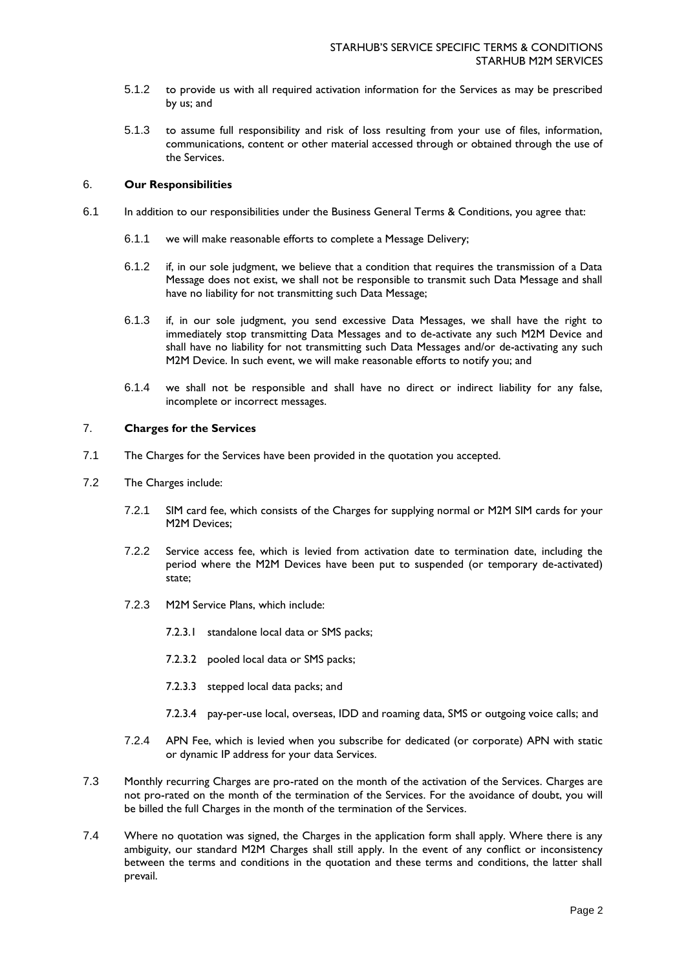- 5.1.2 to provide us with all required activation information for the Services as may be prescribed by us; and
- 5.1.3 to assume full responsibility and risk of loss resulting from your use of files, information, communications, content or other material accessed through or obtained through the use of the Services.

#### 6. **Our Responsibilities**

- 6.1 In addition to our responsibilities under the Business General Terms & Conditions, you agree that:
	- 6.1.1 we will make reasonable efforts to complete a Message Delivery;
	- 6.1.2 if, in our sole judgment, we believe that a condition that requires the transmission of a Data Message does not exist, we shall not be responsible to transmit such Data Message and shall have no liability for not transmitting such Data Message;
	- 6.1.3 if, in our sole judgment, you send excessive Data Messages, we shall have the right to immediately stop transmitting Data Messages and to de-activate any such M2M Device and shall have no liability for not transmitting such Data Messages and/or de-activating any such M2M Device. In such event, we will make reasonable efforts to notify you; and
	- 6.1.4 we shall not be responsible and shall have no direct or indirect liability for any false, incomplete or incorrect messages.

# 7. **Charges for the Services**

- 7.1 The Charges for the Services have been provided in the quotation you accepted.
- 7.2 The Charges include:
	- 7.2.1 SIM card fee, which consists of the Charges for supplying normal or M2M SIM cards for your M2M Devices;
	- 7.2.2 Service access fee, which is levied from activation date to termination date, including the period where the M2M Devices have been put to suspended (or temporary de-activated) state;
	- 7.2.3 M2M Service Plans, which include:
		- 7.2.3.1 standalone local data or SMS packs;
		- 7.2.3.2 pooled local data or SMS packs;
		- 7.2.3.3 stepped local data packs; and
		- 7.2.3.4 pay-per-use local, overseas, IDD and roaming data, SMS or outgoing voice calls; and
	- 7.2.4 APN Fee, which is levied when you subscribe for dedicated (or corporate) APN with static or dynamic IP address for your data Services.
- 7.3 Monthly recurring Charges are pro-rated on the month of the activation of the Services. Charges are not pro-rated on the month of the termination of the Services. For the avoidance of doubt, you will be billed the full Charges in the month of the termination of the Services.
- 7.4 Where no quotation was signed, the Charges in the application form shall apply. Where there is any ambiguity, our standard M2M Charges shall still apply. In the event of any conflict or inconsistency between the terms and conditions in the quotation and these terms and conditions, the latter shall prevail.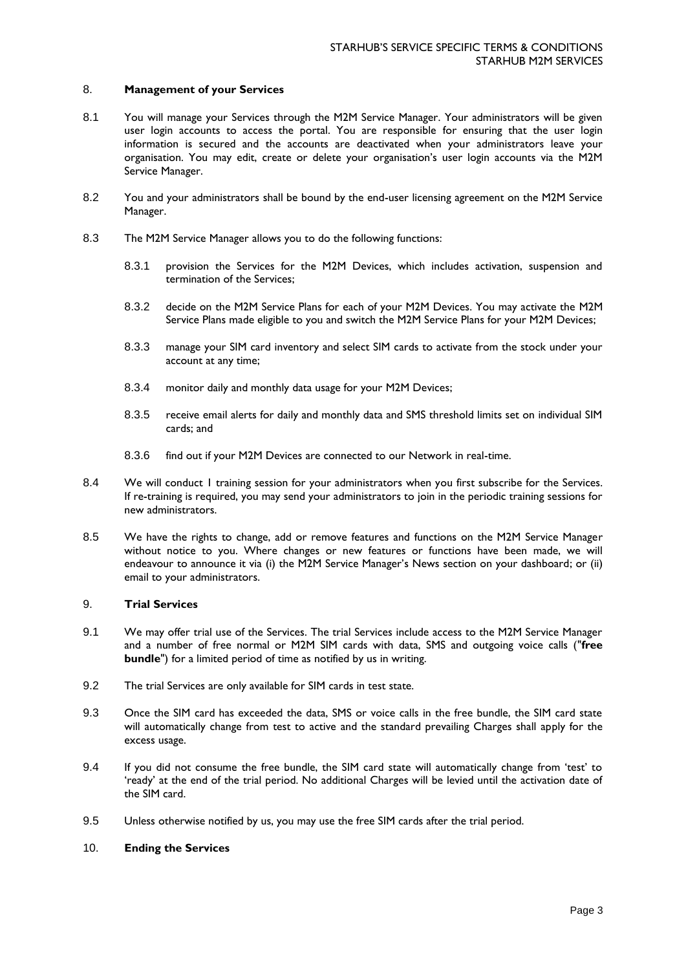## 8. **Management of your Services**

- 8.1 You will manage your Services through the M2M Service Manager. Your administrators will be given user login accounts to access the portal. You are responsible for ensuring that the user login information is secured and the accounts are deactivated when your administrators leave your organisation. You may edit, create or delete your organisation's user login accounts via the M2M Service Manager.
- 8.2 You and your administrators shall be bound by the end-user licensing agreement on the M2M Service Manager.
- 8.3 The M2M Service Manager allows you to do the following functions:
	- 8.3.1 provision the Services for the M2M Devices, which includes activation, suspension and termination of the Services;
	- 8.3.2 decide on the M2M Service Plans for each of your M2M Devices. You may activate the M2M Service Plans made eligible to you and switch the M2M Service Plans for your M2M Devices;
	- 8.3.3 manage your SIM card inventory and select SIM cards to activate from the stock under your account at any time;
	- 8.3.4 monitor daily and monthly data usage for your M2M Devices;
	- 8.3.5 receive email alerts for daily and monthly data and SMS threshold limits set on individual SIM cards; and
	- 8.3.6 find out if your M2M Devices are connected to our Network in real-time.
- 8.4 We will conduct 1 training session for your administrators when you first subscribe for the Services. If re-training is required, you may send your administrators to join in the periodic training sessions for new administrators.
- 8.5 We have the rights to change, add or remove features and functions on the M2M Service Manager without notice to you. Where changes or new features or functions have been made, we will endeavour to announce it via (i) the M2M Service Manager's News section on your dashboard; or (ii) email to your administrators.

#### 9. **Trial Services**

- 9.1 We may offer trial use of the Services. The trial Services include access to the M2M Service Manager and a number of free normal or M2M SIM cards with data, SMS and outgoing voice calls ("**free bundle**") for a limited period of time as notified by us in writing.
- 9.2 The trial Services are only available for SIM cards in test state.
- 9.3 Once the SIM card has exceeded the data, SMS or voice calls in the free bundle, the SIM card state will automatically change from test to active and the standard prevailing Charges shall apply for the excess usage.
- 9.4 If you did not consume the free bundle, the SIM card state will automatically change from 'test' to 'ready' at the end of the trial period. No additional Charges will be levied until the activation date of the SIM card.
- 9.5 Unless otherwise notified by us, you may use the free SIM cards after the trial period.
- 10. **Ending the Services**